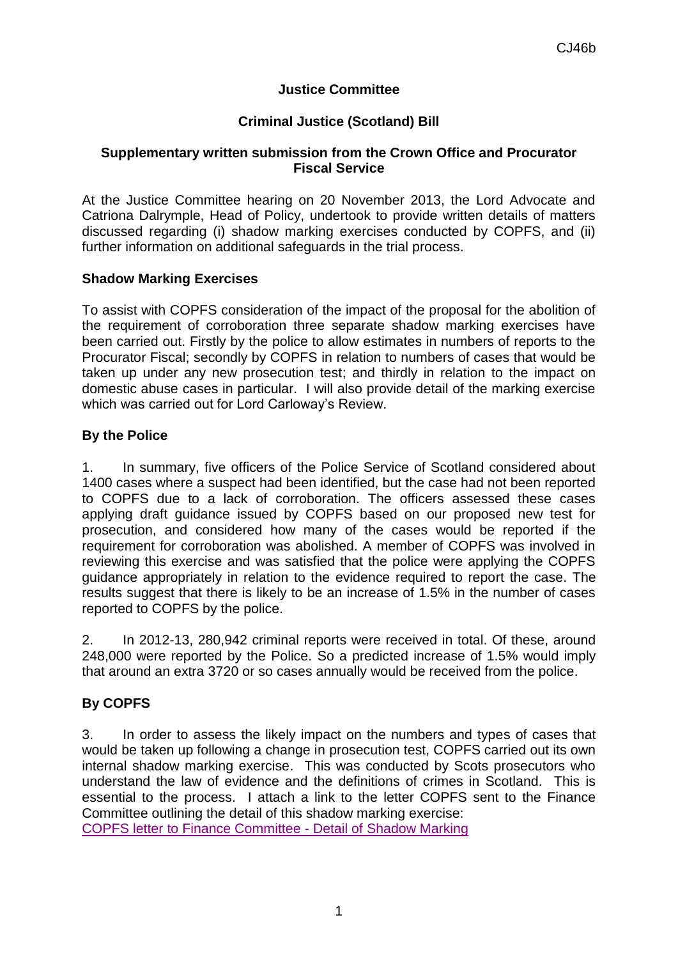# **Justice Committee**

# **Criminal Justice (Scotland) Bill**

#### **Supplementary written submission from the Crown Office and Procurator Fiscal Service**

At the Justice Committee hearing on 20 November 2013, the Lord Advocate and Catriona Dalrymple, Head of Policy, undertook to provide written details of matters discussed regarding (i) shadow marking exercises conducted by COPFS, and (ii) further information on additional safeguards in the trial process.

#### **Shadow Marking Exercises**

To assist with COPFS consideration of the impact of the proposal for the abolition of the requirement of corroboration three separate shadow marking exercises have been carried out. Firstly by the police to allow estimates in numbers of reports to the Procurator Fiscal; secondly by COPFS in relation to numbers of cases that would be taken up under any new prosecution test; and thirdly in relation to the impact on domestic abuse cases in particular. I will also provide detail of the marking exercise which was carried out for Lord Carloway's Review.

## **By the Police**

1. In summary, five officers of the Police Service of Scotland considered about 1400 cases where a suspect had been identified, but the case had not been reported to COPFS due to a lack of corroboration. The officers assessed these cases applying draft guidance issued by COPFS based on our proposed new test for prosecution, and considered how many of the cases would be reported if the requirement for corroboration was abolished. A member of COPFS was involved in reviewing this exercise and was satisfied that the police were applying the COPFS guidance appropriately in relation to the evidence required to report the case. The results suggest that there is likely to be an increase of 1.5% in the number of cases reported to COPFS by the police.

2. In 2012-13, 280,942 criminal reports were received in total. Of these, around 248,000 were reported by the Police. So a predicted increase of 1.5% would imply that around an extra 3720 or so cases annually would be received from the police.

# **By COPFS**

3. In order to assess the likely impact on the numbers and types of cases that would be taken up following a change in prosecution test, COPFS carried out its own internal shadow marking exercise. This was conducted by Scots prosecutors who understand the law of evidence and the definitions of crimes in Scotland. This is essential to the process. I attach a link to the letter COPFS sent to the Finance Committee outlining the detail of this shadow marking exercise:

[COPFS letter to Finance Committee -](http://www.scottish.parliament.uk/S4_FinanceCommittee/CROWN_OFFICE_AND_PROCURATOR_FISCAL_SERVICES_SUPPLEMENTARY_EVIDENCE_CJ.pdf) Detail of Shadow Marking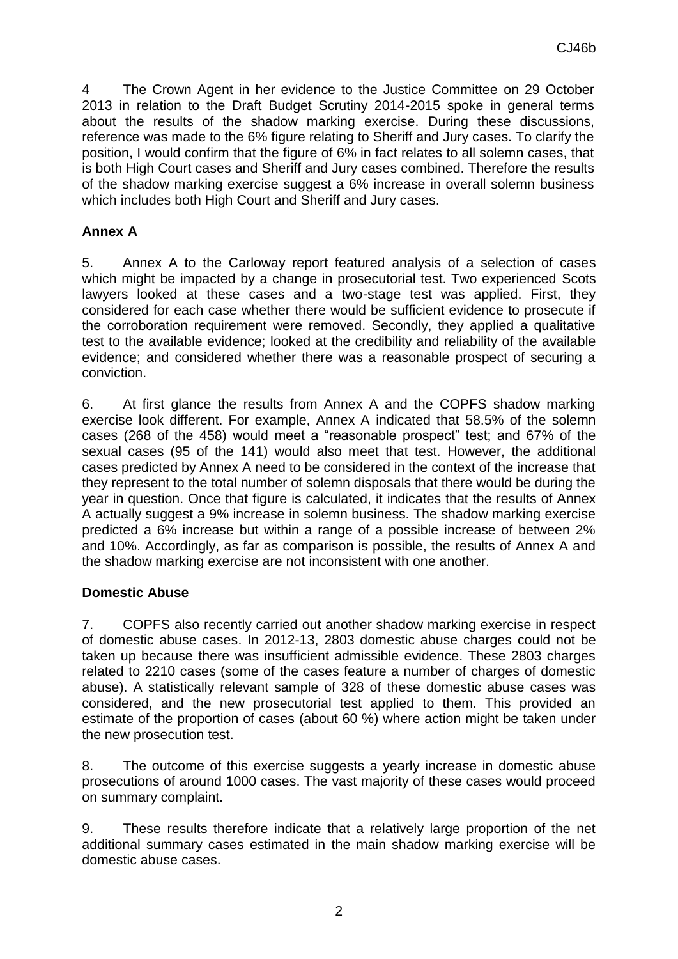4 The Crown Agent in her evidence to the Justice Committee on 29 October 2013 in relation to the Draft Budget Scrutiny 2014-2015 spoke in general terms about the results of the shadow marking exercise. During these discussions, reference was made to the 6% figure relating to Sheriff and Jury cases. To clarify the position, I would confirm that the figure of 6% in fact relates to all solemn cases, that is both High Court cases and Sheriff and Jury cases combined. Therefore the results of the shadow marking exercise suggest a 6% increase in overall solemn business which includes both High Court and Sheriff and Jury cases.

# **Annex A**

5. Annex A to the Carloway report featured analysis of a selection of cases which might be impacted by a change in prosecutorial test. Two experienced Scots lawyers looked at these cases and a two-stage test was applied. First, they considered for each case whether there would be sufficient evidence to prosecute if the corroboration requirement were removed. Secondly, they applied a qualitative test to the available evidence; looked at the credibility and reliability of the available evidence; and considered whether there was a reasonable prospect of securing a conviction.

6. At first glance the results from Annex A and the COPFS shadow marking exercise look different. For example, Annex A indicated that 58.5% of the solemn cases (268 of the 458) would meet a "reasonable prospect" test; and 67% of the sexual cases (95 of the 141) would also meet that test. However, the additional cases predicted by Annex A need to be considered in the context of the increase that they represent to the total number of solemn disposals that there would be during the year in question. Once that figure is calculated, it indicates that the results of Annex A actually suggest a 9% increase in solemn business. The shadow marking exercise predicted a 6% increase but within a range of a possible increase of between 2% and 10%. Accordingly, as far as comparison is possible, the results of Annex A and the shadow marking exercise are not inconsistent with one another.

## **Domestic Abuse**

7. COPFS also recently carried out another shadow marking exercise in respect of domestic abuse cases. In 2012-13, 2803 domestic abuse charges could not be taken up because there was insufficient admissible evidence. These 2803 charges related to 2210 cases (some of the cases feature a number of charges of domestic abuse). A statistically relevant sample of 328 of these domestic abuse cases was considered, and the new prosecutorial test applied to them. This provided an estimate of the proportion of cases (about 60 %) where action might be taken under the new prosecution test.

8. The outcome of this exercise suggests a yearly increase in domestic abuse prosecutions of around 1000 cases. The vast majority of these cases would proceed on summary complaint.

9. These results therefore indicate that a relatively large proportion of the net additional summary cases estimated in the main shadow marking exercise will be domestic abuse cases.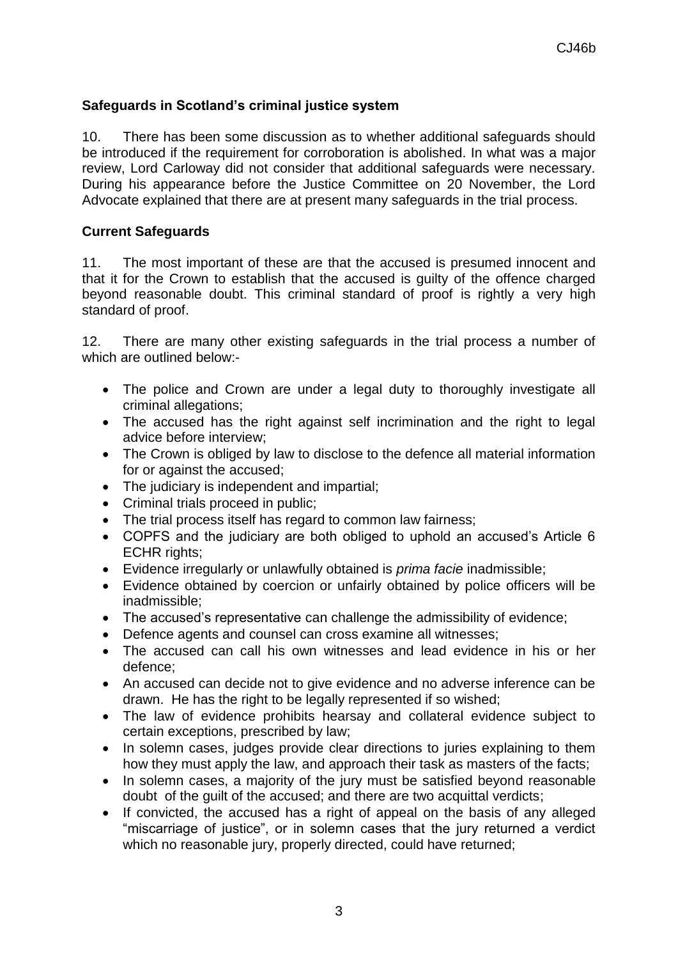# **Safeguards in Scotland's criminal justice system**

10. There has been some discussion as to whether additional safeguards should be introduced if the requirement for corroboration is abolished. In what was a major review, Lord Carloway did not consider that additional safeguards were necessary. During his appearance before the Justice Committee on 20 November, the Lord Advocate explained that there are at present many safeguards in the trial process.

# **Current Safeguards**

11. The most important of these are that the accused is presumed innocent and that it for the Crown to establish that the accused is guilty of the offence charged beyond reasonable doubt. This criminal standard of proof is rightly a very high standard of proof.

12. There are many other existing safeguards in the trial process a number of which are outlined below:-

- The police and Crown are under a legal duty to thoroughly investigate all criminal allegations;
- The accused has the right against self incrimination and the right to legal advice before interview;
- The Crown is obliged by law to disclose to the defence all material information for or against the accused;
- The judiciary is independent and impartial;
- Criminal trials proceed in public;
- The trial process itself has regard to common law fairness:
- COPFS and the judiciary are both obliged to uphold an accused's Article 6 ECHR rights;
- Evidence irregularly or unlawfully obtained is *prima facie* inadmissible;
- Evidence obtained by coercion or unfairly obtained by police officers will be inadmissible;
- The accused's representative can challenge the admissibility of evidence;
- Defence agents and counsel can cross examine all witnesses;
- The accused can call his own witnesses and lead evidence in his or her defence;
- An accused can decide not to give evidence and no adverse inference can be drawn. He has the right to be legally represented if so wished;
- The law of evidence prohibits hearsay and collateral evidence subject to certain exceptions, prescribed by law;
- In solemn cases, judges provide clear directions to juries explaining to them how they must apply the law, and approach their task as masters of the facts;
- In solemn cases, a majority of the jury must be satisfied beyond reasonable doubt of the guilt of the accused; and there are two acquittal verdicts;
- If convicted, the accused has a right of appeal on the basis of any alleged "miscarriage of justice", or in solemn cases that the jury returned a verdict which no reasonable jury, properly directed, could have returned;